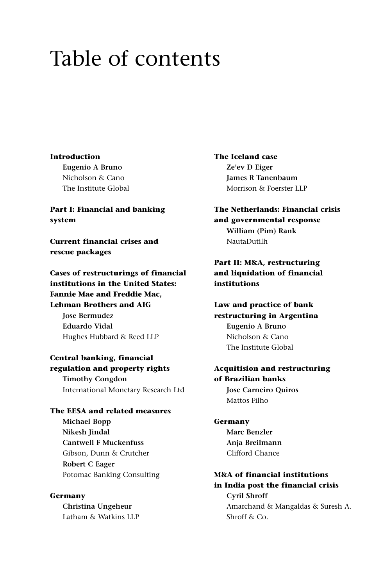# Table of contents

#### **Introduction**

**Eugenio A Bruno** Nicholson & Cano The Institute Global

**Part I: Financial and banking system**

**Current financial crises and rescue packages**

**Cases of restructurings of financial institutions in the United States: Fannie Mae and Freddie Mac, Lehman Brothers and AIG Jose Bermudez Eduardo Vidal**

Hughes Hubbard & Reed LLP

**Central banking, financial regulation and property rights Timothy Congdon** International Monetary Research Ltd

## **The EESA and related measures Michael Bopp**

**Nikesh Jindal Cantwell F Muckenfuss** Gibson, Dunn & Crutcher **Robert C Eager** Potomac Banking Consulting

#### **Germany**

**Christina Ungeheur** Latham & Watkins LLP **The Iceland case Ze'ev D Eiger James R Tanenbaum** Morrison & Foerster LLP

**The Netherlands: Financial crisis and governmental response William (Pim) Rank** NautaDutilh

## **Part II: M&A, restructuring and liquidation of financial institutions**

**Law and practice of bank restructuring in Argentina Eugenio A Bruno** Nicholson & Cano The Institute Global

#### **Acquitision and restructuring of Brazilian banks Jose Carneiro Quiros** Mattos Filho

**Germany Marc Benzler Anja Breilmann** Clifford Chance

## **M&A of financial institutions in India post the financial crisis Cyril Shroff** Amarchand & Mangaldas & Suresh A. Shroff & Co.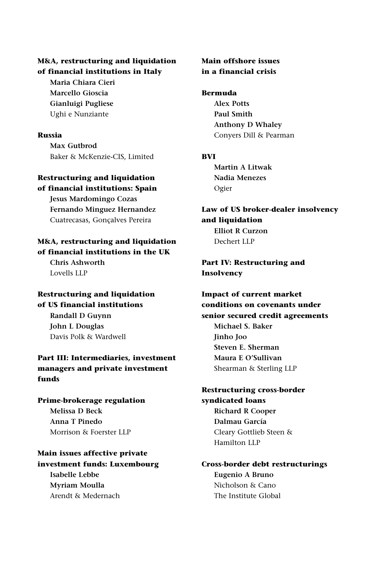#### **M&A, restructuring and liquidation of financial institutions in Italy**

**Maria Chiara Cieri Marcello Gioscia Gianluigi Pugliese**  Ughi e Nunziante

#### **Russia**

**Max Gutbrod** Baker & McKenzie-CIS, Limited

#### **Restructuring and liquidation of financial institutions: Spain**

**Jesus Mardomingo Cozas Fernando Minguez Hernandez** Cuatrecasas, Gonçalves Pereira

#### **M&A, restructuring and liquidation of financial institutions in the UK**

**Chris Ashworth** Lovells LLP

# **Restructuring and liquidation of US financial institutions Randall D Guynn**

**John L Douglas** Davis Polk & Wardwell

### **Part III: Intermediaries, investment managers and private investment funds**

**Prime-brokerage regulation Melissa D Beck Anna T Pinedo** Morrison & Foerster LLP

## **Main issues affective private investment funds: Luxembourg Isabelle Lebbe Myriam Moulla** Arendt & Medernach

#### **Main offshore issues in a financial crisis**

#### **Bermuda**

**Alex Potts Paul Smith Anthony D Whaley** Conyers Dill & Pearman

#### **BVI**

**Martin A Litwak Nadia Menezes**  Ogier

## **Law of US broker-dealer insolvency and liquidation Elliot R Curzon**

Dechert LLP

## **Part IV: Restructuring and Insolvency**

**Impact of current market conditions on covenants under senior secured credit agreements Michael S. Baker Jinho Joo Steven E. Sherman Maura E O'Sullivan** Shearman & Sterling LLP

## **Restructuring cross-border syndicated loans Richard R Cooper Dalmau García** Cleary Gottlieb Steen & Hamilton LLP

## **Cross-border debt restructurings Eugenio A Bruno** Nicholson & Cano The Institute Global